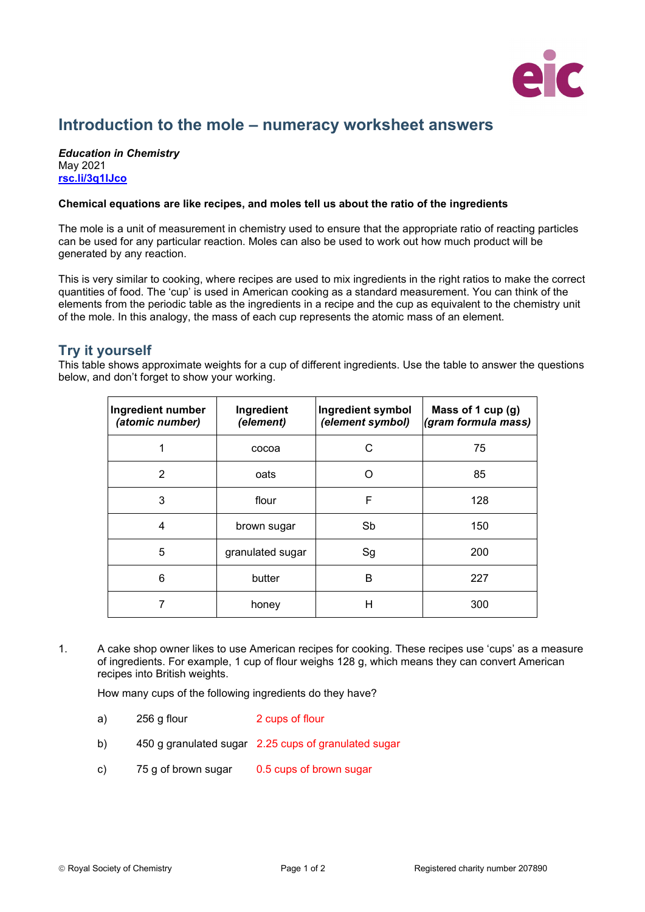

## **Introduction to the mole – numeracy worksheet answers**

## *Education in Chemistry* May 2021 **[rsc.li/3q1lJco](https://rsc.li/3q1lJco)**

## **Chemical equations are like recipes, and moles tell us about the ratio of the ingredients**

The mole is a unit of measurement in chemistry used to ensure that the appropriate ratio of reacting particles can be used for any particular reaction. Moles can also be used to work out how much product will be generated by any reaction.

This is very similar to cooking, where recipes are used to mix ingredients in the right ratios to make the correct quantities of food. The 'cup' is used in American cooking as a standard measurement. You can think of the elements from the periodic table as the ingredients in a recipe and the cup as equivalent to the chemistry unit of the mole. In this analogy, the mass of each cup represents the atomic mass of an element.

## **Try it yourself**

This table shows approximate weights for a cup of different ingredients. Use the table to answer the questions below, and don't forget to show your working.

| Ingredient number<br>(atomic number) | Ingredient<br>(element) | Ingredient symbol<br>(element symbol) | Mass of 1 cup (g)<br>(gram formula mass) |
|--------------------------------------|-------------------------|---------------------------------------|------------------------------------------|
|                                      | cocoa                   | C.                                    | 75                                       |
| 2                                    | oats                    |                                       | 85                                       |
| 3                                    | flour                   | F                                     | 128                                      |
| 4                                    | brown sugar             | Sb                                    | 150                                      |
| 5                                    | granulated sugar        | Sg                                    | 200                                      |
| 6                                    | butter                  | B                                     | 227                                      |
|                                      | honey                   | н                                     | 300                                      |

1. A cake shop owner likes to use American recipes for cooking. These recipes use 'cups' as a measure of ingredients. For example, 1 cup of flour weighs 128 g, which means they can convert American recipes into British weights.

How many cups of the following ingredients do they have?

- a) 256 g flour 2 cups of flour
- b) 450 g granulated sugar 2.25 cups of granulated sugar
- c) 75 g of brown sugar 0.5 cups of brown sugar